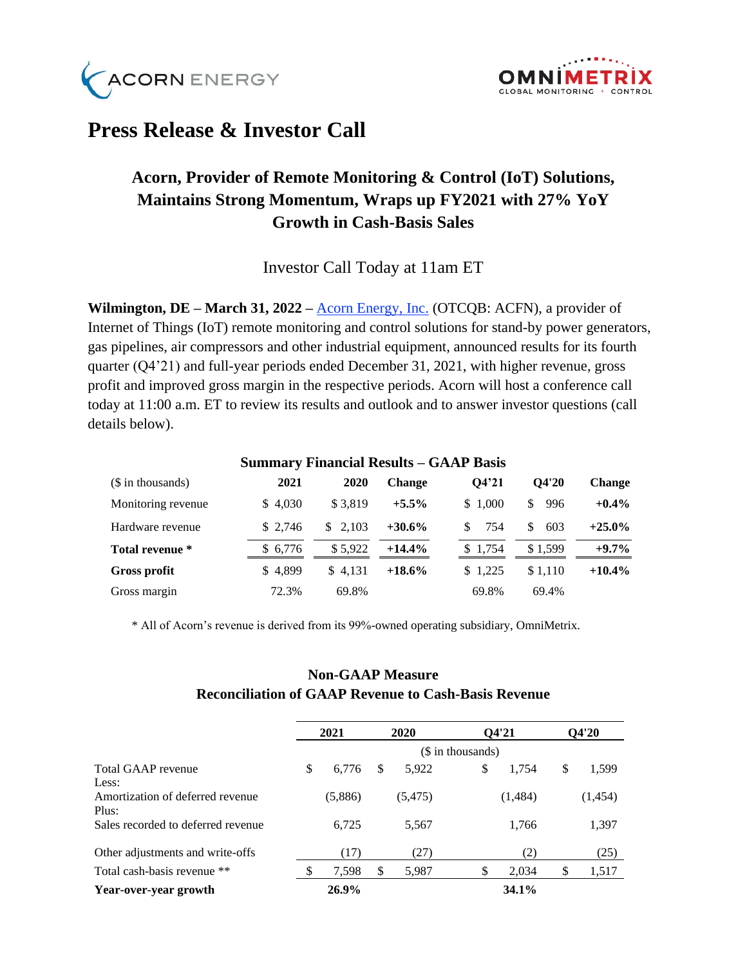



# **Press Release & Investor Call**

## **Acorn, Provider of Remote Monitoring & Control (IoT) Solutions, Maintains Strong Momentum, Wraps up FY2021 with 27% YoY Growth in Cash-Basis Sales**

Investor Call Today at 11am ET

**Wilmington, DE – March 31, 2022 –** [Acorn Energy, Inc.](http://acornenergy.com/) (OTCQB: ACFN), a provider of Internet of Things (IoT) remote monitoring and control solutions for stand-by power generators, gas pipelines, air compressors and other industrial equipment, announced results for its fourth quarter (Q4'21) and full-year periods ended December 31, 2021, with higher revenue, gross profit and improved gross margin in the respective periods. Acorn will host a conference call today at 11:00 a.m. ET to review its results and outlook and to answer investor questions (call details below).

| Summary Financial Results – GAAP Basis |         |         |               |           |            |               |  |  |
|----------------------------------------|---------|---------|---------------|-----------|------------|---------------|--|--|
| (\$ in thousands)                      | 2021    | 2020    | <b>Change</b> | O4'21     | O4'20      | <b>Change</b> |  |  |
| Monitoring revenue                     | \$4,030 | \$3.819 | $+5.5%$       | \$1,000   | 996<br>\$. | $+0.4\%$      |  |  |
| Hardware revenue                       | \$2.746 | \$2.103 | $+30.6\%$     | 754<br>S. | 603<br>\$. | $+25.0\%$     |  |  |
| Total revenue *                        | \$6.776 | \$5,922 | $+14.4%$      | \$1.754   | \$1.599    | $+9.7\%$      |  |  |
| Gross profit                           | \$4.899 | \$4.131 | $+18.6\%$     | \$1.225   | \$1.110    | $+10.4\%$     |  |  |
| Gross margin                           | 72.3%   | 69.8%   |               | 69.8%     | 69.4%      |               |  |  |

#### **Summary Financial Results – GAAP Basis**

\* All of Acorn's revenue is derived from its 99%-owned operating subsidiary, OmniMetrix.

## **Non-GAAP Measure Reconciliation of GAAP Revenue to Cash-Basis Revenue**

|                                    | 2021 |          |                   | 2020     |    | Q4'21   |    | Q4'20   |  |
|------------------------------------|------|----------|-------------------|----------|----|---------|----|---------|--|
|                                    |      |          | (\$ in thousands) |          |    |         |    |         |  |
| Total GAAP revenue                 | \$   | 6.776    | \$                | 5,922    | \$ | 1,754   | \$ | 1,599   |  |
| Less:                              |      |          |                   |          |    |         |    |         |  |
| Amortization of deferred revenue   |      | (5,886)  |                   | (5, 475) |    | (1,484) |    | (1,454) |  |
| Plus:                              |      |          |                   |          |    |         |    |         |  |
| Sales recorded to deferred revenue |      | 6,725    |                   | 5,567    |    | 1,766   |    | 1,397   |  |
| Other adjustments and write-offs   |      | (17)     |                   | (27)     |    | (2)     |    | (25)    |  |
| Total cash-basis revenue **        |      | 7,598    | S                 | 5,987    |    | 2,034   | \$ | 1,517   |  |
| Year-over-year growth              |      | $26.9\%$ |                   |          |    | 34.1%   |    |         |  |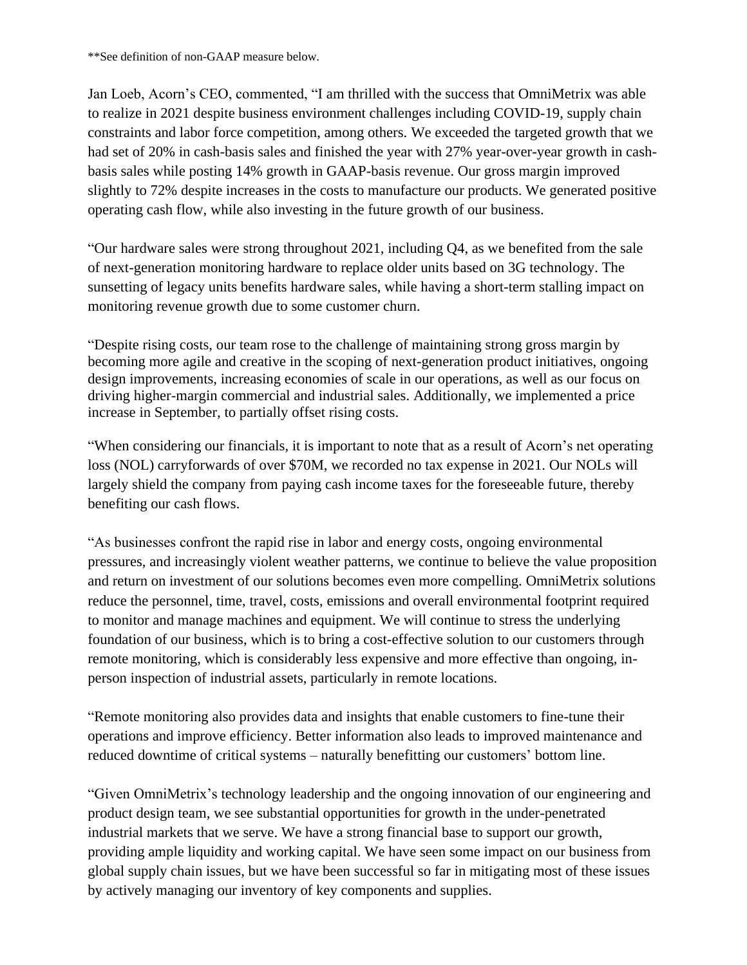\*\*See definition of non-GAAP measure below.

Jan Loeb, Acorn's CEO, commented, "I am thrilled with the success that OmniMetrix was able to realize in 2021 despite business environment challenges including COVID-19, supply chain constraints and labor force competition, among others. We exceeded the targeted growth that we had set of 20% in cash-basis sales and finished the year with 27% year-over-year growth in cashbasis sales while posting 14% growth in GAAP-basis revenue. Our gross margin improved slightly to 72% despite increases in the costs to manufacture our products. We generated positive operating cash flow, while also investing in the future growth of our business.

"Our hardware sales were strong throughout 2021, including Q4, as we benefited from the sale of next-generation monitoring hardware to replace older units based on 3G technology. The sunsetting of legacy units benefits hardware sales, while having a short-term stalling impact on monitoring revenue growth due to some customer churn.

"Despite rising costs, our team rose to the challenge of maintaining strong gross margin by becoming more agile and creative in the scoping of next-generation product initiatives, ongoing design improvements, increasing economies of scale in our operations, as well as our focus on driving higher-margin commercial and industrial sales. Additionally, we implemented a price increase in September, to partially offset rising costs.

"When considering our financials, it is important to note that as a result of Acorn's net operating loss (NOL) carryforwards of over \$70M, we recorded no tax expense in 2021. Our NOLs will largely shield the company from paying cash income taxes for the foreseeable future, thereby benefiting our cash flows.

"As businesses confront the rapid rise in labor and energy costs, ongoing environmental pressures, and increasingly violent weather patterns, we continue to believe the value proposition and return on investment of our solutions becomes even more compelling. OmniMetrix solutions reduce the personnel, time, travel, costs, emissions and overall environmental footprint required to monitor and manage machines and equipment. We will continue to stress the underlying foundation of our business, which is to bring a cost-effective solution to our customers through remote monitoring, which is considerably less expensive and more effective than ongoing, inperson inspection of industrial assets, particularly in remote locations.

"Remote monitoring also provides data and insights that enable customers to fine-tune their operations and improve efficiency. Better information also leads to improved maintenance and reduced downtime of critical systems – naturally benefitting our customers' bottom line.

"Given OmniMetrix's technology leadership and the ongoing innovation of our engineering and product design team, we see substantial opportunities for growth in the under-penetrated industrial markets that we serve. We have a strong financial base to support our growth, providing ample liquidity and working capital. We have seen some impact on our business from global supply chain issues, but we have been successful so far in mitigating most of these issues by actively managing our inventory of key components and supplies.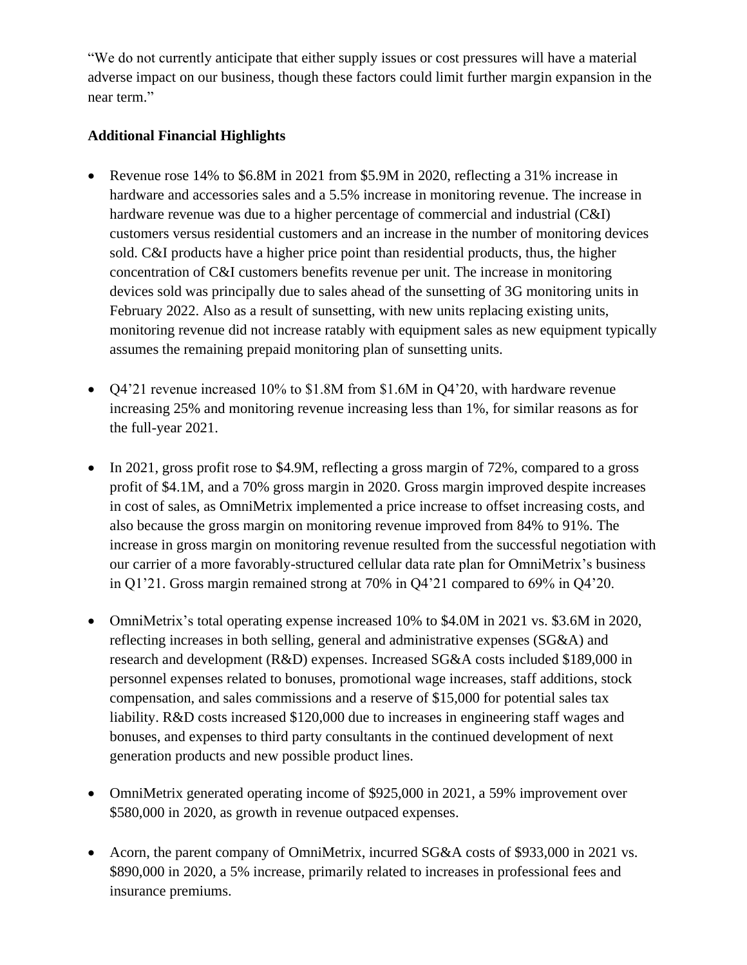"We do not currently anticipate that either supply issues or cost pressures will have a material adverse impact on our business, though these factors could limit further margin expansion in the near term."

## **Additional Financial Highlights**

- Revenue rose 14% to \$6.8M in 2021 from \$5.9M in 2020, reflecting a 31% increase in hardware and accessories sales and a 5.5% increase in monitoring revenue. The increase in hardware revenue was due to a higher percentage of commercial and industrial (C&I) customers versus residential customers and an increase in the number of monitoring devices sold. C&I products have a higher price point than residential products, thus, the higher concentration of C&I customers benefits revenue per unit. The increase in monitoring devices sold was principally due to sales ahead of the sunsetting of 3G monitoring units in February 2022. Also as a result of sunsetting, with new units replacing existing units, monitoring revenue did not increase ratably with equipment sales as new equipment typically assumes the remaining prepaid monitoring plan of sunsetting units.
- Q4'21 revenue increased 10% to \$1.8M from \$1.6M in Q4'20, with hardware revenue increasing 25% and monitoring revenue increasing less than 1%, for similar reasons as for the full-year 2021.
- In 2021, gross profit rose to \$4.9M, reflecting a gross margin of 72%, compared to a gross profit of \$4.1M, and a 70% gross margin in 2020. Gross margin improved despite increases in cost of sales, as OmniMetrix implemented a price increase to offset increasing costs, and also because the gross margin on monitoring revenue improved from 84% to 91%. The increase in gross margin on monitoring revenue resulted from the successful negotiation with our carrier of a more favorably-structured cellular data rate plan for OmniMetrix's business in Q1'21. Gross margin remained strong at 70% in Q4'21 compared to 69% in Q4'20.
- OmniMetrix's total operating expense increased 10% to \$4.0M in 2021 vs. \$3.6M in 2020, reflecting increases in both selling, general and administrative expenses (SG&A) and research and development (R&D) expenses. Increased SG&A costs included \$189,000 in personnel expenses related to bonuses, promotional wage increases, staff additions, stock compensation, and sales commissions and a reserve of \$15,000 for potential sales tax liability. R&D costs increased \$120,000 due to increases in engineering staff wages and bonuses, and expenses to third party consultants in the continued development of next generation products and new possible product lines.
- OmniMetrix generated operating income of \$925,000 in 2021, a 59% improvement over \$580,000 in 2020, as growth in revenue outpaced expenses.
- Acorn, the parent company of OmniMetrix, incurred SG&A costs of \$933,000 in 2021 vs. \$890,000 in 2020, a 5% increase, primarily related to increases in professional fees and insurance premiums.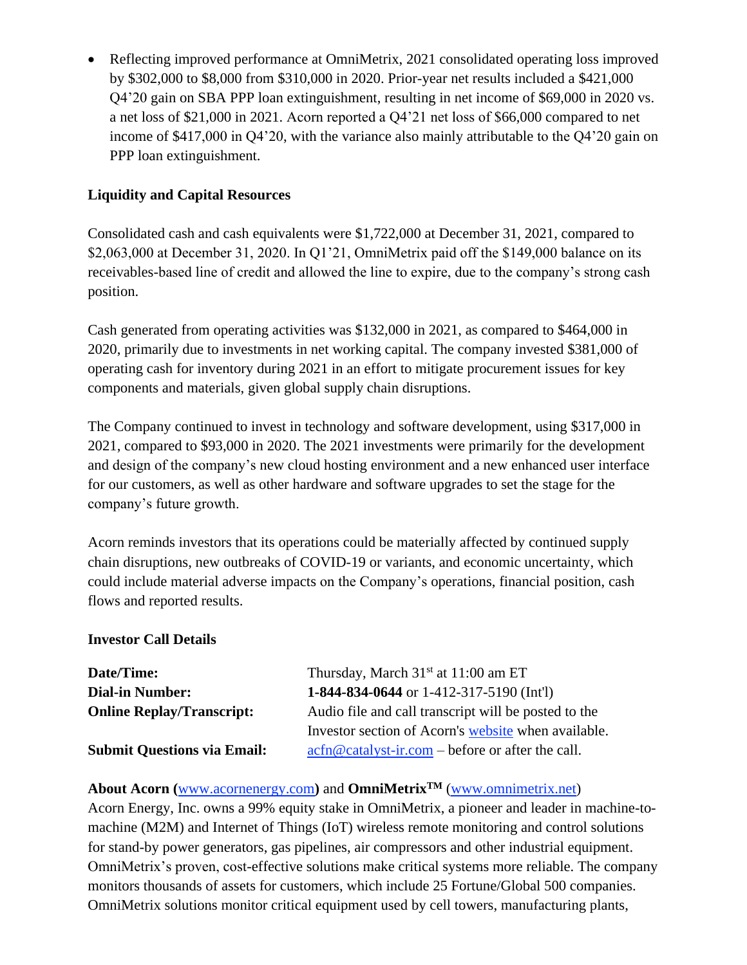• Reflecting improved performance at OmniMetrix, 2021 consolidated operating loss improved by \$302,000 to \$8,000 from \$310,000 in 2020. Prior-year net results included a \$421,000 Q4'20 gain on SBA PPP loan extinguishment, resulting in net income of \$69,000 in 2020 vs. a net loss of \$21,000 in 2021. Acorn reported a Q4'21 net loss of \$66,000 compared to net income of \$417,000 in Q4'20, with the variance also mainly attributable to the Q4'20 gain on PPP loan extinguishment.

## **Liquidity and Capital Resources**

Consolidated cash and cash equivalents were \$1,722,000 at December 31, 2021, compared to \$2,063,000 at December 31, 2020. In Q1'21, OmniMetrix paid off the \$149,000 balance on its receivables-based line of credit and allowed the line to expire, due to the company's strong cash position.

Cash generated from operating activities was \$132,000 in 2021, as compared to \$464,000 in 2020, primarily due to investments in net working capital. The company invested \$381,000 of operating cash for inventory during 2021 in an effort to mitigate procurement issues for key components and materials, given global supply chain disruptions.

The Company continued to invest in technology and software development, using \$317,000 in 2021, compared to \$93,000 in 2020. The 2021 investments were primarily for the development and design of the company's new cloud hosting environment and a new enhanced user interface for our customers, as well as other hardware and software upgrades to set the stage for the company's future growth.

Acorn reminds investors that its operations could be materially affected by continued supply chain disruptions, new outbreaks of COVID-19 or variants, and economic uncertainty, which could include material adverse impacts on the Company's operations, financial position, cash flows and reported results.

## **Investor Call Details**

| Date/Time:                         | Thursday, March $31st$ at 11:00 am ET                        |
|------------------------------------|--------------------------------------------------------------|
| <b>Dial-in Number:</b>             | 1-844-834-0644 or 1-412-317-5190 (Int'l)                     |
| <b>Online Replay/Transcript:</b>   | Audio file and call transcript will be posted to the         |
|                                    | Investor section of Acorn's website when available.          |
| <b>Submit Questions via Email:</b> | $\arctan \omega$ catalyst-ir.com – before or after the call. |

## **About Acorn (**[www.acornenergy.com](http://www.acornenergy.com/)**)** and **OmniMetrixTM** [\(www.omnimetrix.net\)](http://www.omnimetrix.net/)

Acorn Energy, Inc. owns a 99% equity stake in OmniMetrix, a pioneer and leader in machine-tomachine (M2M) and Internet of Things (IoT) wireless remote monitoring and control solutions for stand-by power generators, gas pipelines, air compressors and other industrial equipment. OmniMetrix's proven, cost-effective solutions make critical systems more reliable. The company monitors thousands of assets for customers, which include 25 Fortune/Global 500 companies. OmniMetrix solutions monitor critical equipment used by cell towers, manufacturing plants,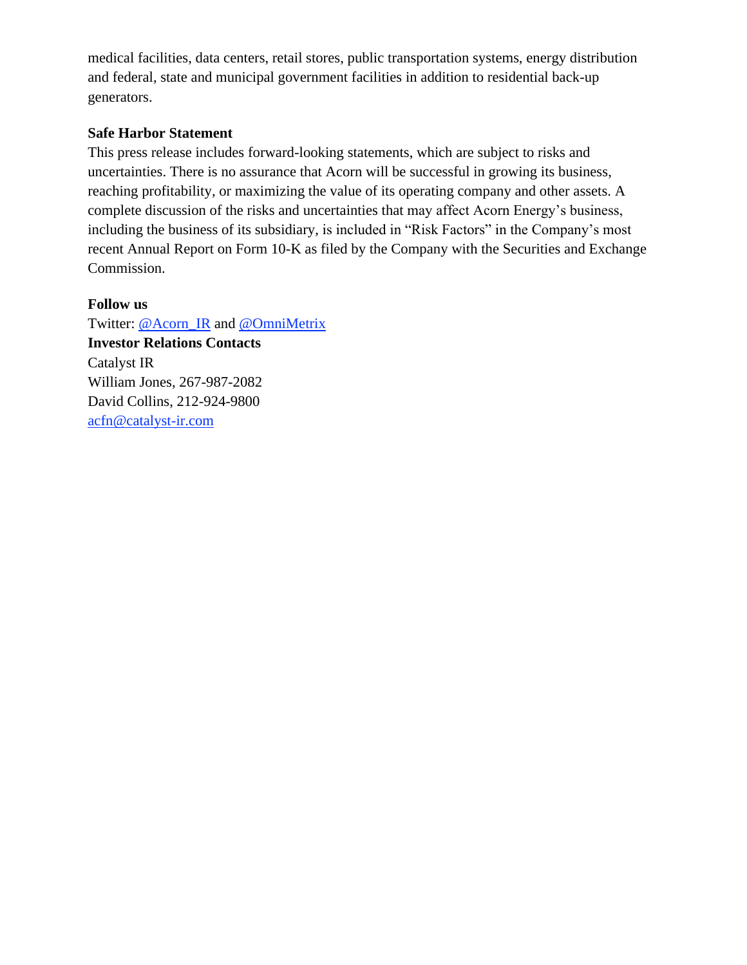medical facilities, data centers, retail stores, public transportation systems, energy distribution and federal, state and municipal government facilities in addition to residential back-up generators.

#### **Safe Harbor Statement**

This press release includes forward-looking statements, which are subject to risks and uncertainties. There is no assurance that Acorn will be successful in growing its business, reaching profitability, or maximizing the value of its operating company and other assets. A complete discussion of the risks and uncertainties that may affect Acorn Energy's business, including the business of its subsidiary, is included in "Risk Factors" in the Company's most recent Annual Report on Form 10-K as filed by the Company with the Securities and Exchange Commission.

#### **Follow us**

Twitter: [@Acorn\\_IR](https://twitter.com/ACORN_IR) and [@OmniMetrix](https://twitter.com/OmniMetrix) **Investor Relations Contacts** Catalyst IR William Jones, 267-987-2082 David Collins, 212-924-9800 [acfn@catalyst-ir.com](mailto:acfn@catalyst-ir.com)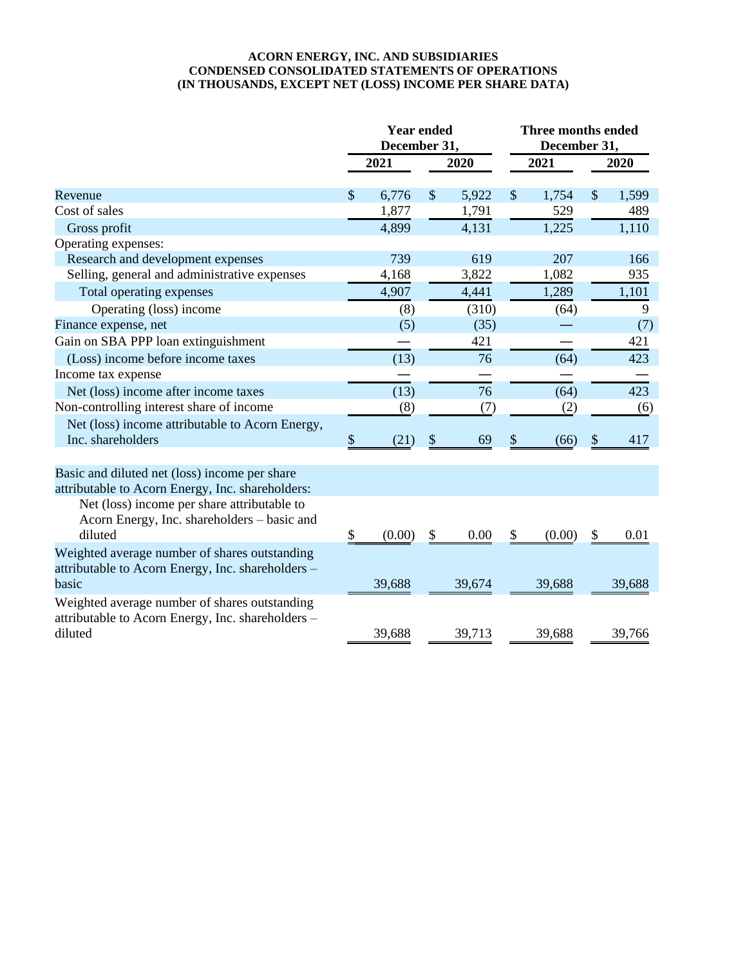#### **ACORN ENERGY, INC. AND SUBSIDIARIES CONDENSED CONSOLIDATED STATEMENTS OF OPERATIONS (IN THOUSANDS, EXCEPT NET (LOSS) INCOME PER SHARE DATA)**

|                                                   |              | <b>Year ended</b><br>December 31, |               |        | <b>Three months ended</b><br>December 31, |        |               |        |
|---------------------------------------------------|--------------|-----------------------------------|---------------|--------|-------------------------------------------|--------|---------------|--------|
|                                                   |              | 2021<br>2020                      |               |        | 2021                                      |        | 2020          |        |
| Revenue                                           | $\mathbb{S}$ | 6,776                             | $\mathcal{S}$ | 5,922  | $\mathcal{S}$                             | 1,754  | $\mathcal{S}$ | 1,599  |
| Cost of sales                                     |              | 1,877                             |               | 1,791  |                                           | 529    |               | 489    |
| Gross profit                                      |              | 4,899                             |               | 4,131  |                                           | 1,225  |               | 1,110  |
| Operating expenses:                               |              |                                   |               |        |                                           |        |               |        |
| Research and development expenses                 |              | 739                               |               | 619    |                                           | 207    |               | 166    |
| Selling, general and administrative expenses      |              | 4,168                             |               | 3,822  |                                           | 1,082  |               | 935    |
| Total operating expenses                          |              | 4,907                             |               | 4,441  |                                           | 1,289  |               | 1,101  |
| Operating (loss) income                           |              | (8)                               |               | (310)  |                                           | (64)   |               | 9      |
| Finance expense, net                              |              | (5)                               |               | (35)   |                                           |        |               | (7)    |
| Gain on SBA PPP loan extinguishment               |              |                                   |               | 421    |                                           |        |               | 421    |
| (Loss) income before income taxes                 |              | (13)                              |               | 76     |                                           | (64)   |               | 423    |
| Income tax expense                                |              |                                   |               |        |                                           |        |               |        |
| Net (loss) income after income taxes              |              | (13)                              |               | 76     |                                           | (64)   |               | 423    |
| Non-controlling interest share of income          |              | (8)                               |               | (7)    |                                           | (2)    |               | (6)    |
| Net (loss) income attributable to Acorn Energy,   |              |                                   |               |        |                                           |        |               |        |
| Inc. shareholders                                 | \$           | (21)                              | \$            | 69     | \$                                        | (66)   | \$            | 417    |
|                                                   |              |                                   |               |        |                                           |        |               |        |
| Basic and diluted net (loss) income per share     |              |                                   |               |        |                                           |        |               |        |
| attributable to Acorn Energy, Inc. shareholders:  |              |                                   |               |        |                                           |        |               |        |
| Net (loss) income per share attributable to       |              |                                   |               |        |                                           |        |               |        |
| Acorn Energy, Inc. shareholders - basic and       |              |                                   |               |        |                                           |        |               |        |
| diluted                                           | \$           | (0.00)                            | \$            | 0.00   | \$                                        | (0.00) | \$            | 0.01   |
| Weighted average number of shares outstanding     |              |                                   |               |        |                                           |        |               |        |
| attributable to Acorn Energy, Inc. shareholders - |              |                                   |               |        |                                           |        |               |        |
| basic                                             |              | 39,688                            |               | 39,674 |                                           | 39,688 |               | 39,688 |
| Weighted average number of shares outstanding     |              |                                   |               |        |                                           |        |               |        |
| attributable to Acorn Energy, Inc. shareholders - |              |                                   |               |        |                                           |        |               |        |
| diluted                                           |              | 39,688                            |               | 39,713 |                                           | 39,688 |               | 39,766 |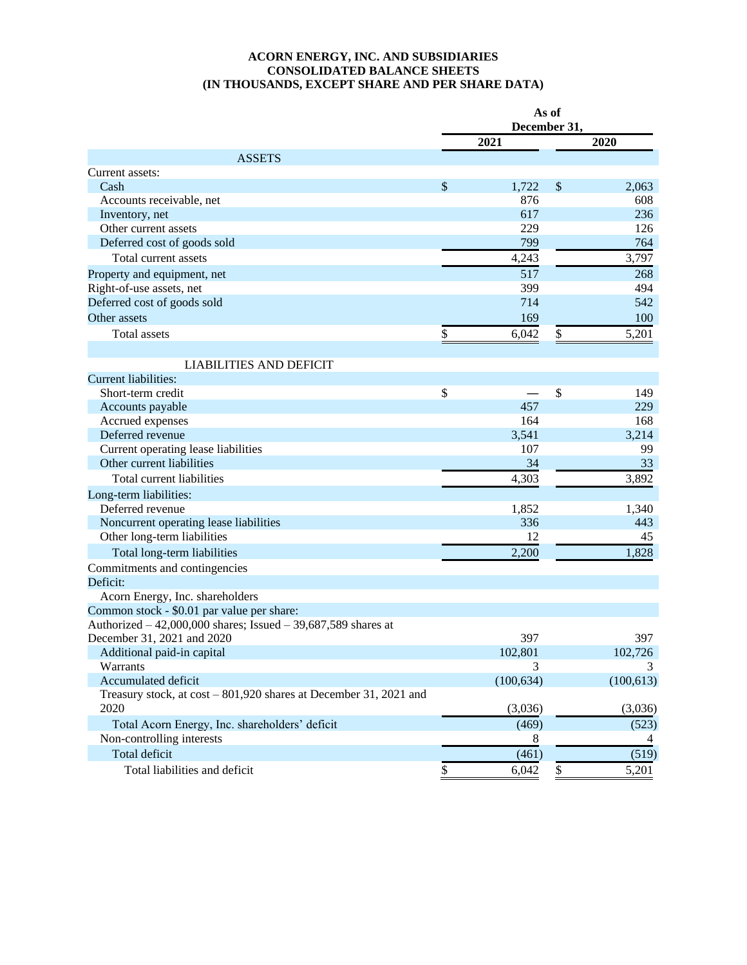#### **ACORN ENERGY, INC. AND SUBSIDIARIES CONSOLIDATED BALANCE SHEETS (IN THOUSANDS, EXCEPT SHARE AND PER SHARE DATA)**

|                                                                           | As of<br>December 31, |            |                           |            |
|---------------------------------------------------------------------------|-----------------------|------------|---------------------------|------------|
|                                                                           |                       | 2021       |                           | 2020       |
| <b>ASSETS</b>                                                             |                       |            |                           |            |
| Current assets:                                                           |                       |            |                           |            |
| Cash                                                                      | \$                    | 1,722      | $\boldsymbol{\mathsf{S}}$ | 2,063      |
| Accounts receivable, net                                                  |                       | 876        |                           | 608        |
| Inventory, net                                                            |                       | 617        |                           | 236        |
| Other current assets                                                      |                       | 229        |                           | 126        |
| Deferred cost of goods sold                                               |                       | 799        |                           | 764        |
| Total current assets                                                      |                       | 4,243      |                           | 3,797      |
| Property and equipment, net                                               |                       | 517        |                           | 268        |
| Right-of-use assets, net                                                  |                       | 399        |                           | 494        |
| Deferred cost of goods sold                                               |                       | 714        |                           | 542        |
| Other assets                                                              |                       | 169        |                           | 100        |
| Total assets                                                              | \$                    | 6,042      | \$                        | 5,201      |
|                                                                           |                       |            |                           |            |
| <b>LIABILITIES AND DEFICIT</b><br><b>Current liabilities:</b>             |                       |            |                           |            |
| Short-term credit                                                         | \$                    |            | $\mathcal{S}$             | 149        |
| Accounts payable                                                          |                       | 457        |                           | 229        |
| Accrued expenses                                                          |                       | 164        |                           | 168        |
| Deferred revenue                                                          |                       | 3,541      |                           | 3,214      |
| Current operating lease liabilities                                       |                       | 107        |                           | 99         |
| Other current liabilities                                                 |                       | 34         |                           | 33         |
|                                                                           |                       |            |                           |            |
| Total current liabilities                                                 |                       | 4,303      |                           | 3,892      |
| Long-term liabilities:                                                    |                       |            |                           |            |
| Deferred revenue                                                          |                       | 1,852      |                           | 1,340      |
| Noncurrent operating lease liabilities                                    |                       | 336        |                           | 443        |
| Other long-term liabilities                                               |                       | 12         |                           | 45         |
| Total long-term liabilities                                               |                       | 2,200      |                           | 1,828      |
| Commitments and contingencies                                             |                       |            |                           |            |
| Deficit:                                                                  |                       |            |                           |            |
| Acorn Energy, Inc. shareholders                                           |                       |            |                           |            |
| Common stock - \$0.01 par value per share:                                |                       |            |                           |            |
| Authorized $-42,000,000$ shares; Issued $-39,687,589$ shares at           |                       |            |                           |            |
| December 31, 2021 and 2020                                                |                       | 397        |                           | 397        |
| Additional paid-in capital                                                |                       | 102,801    |                           | 102,726    |
| Warrants                                                                  |                       | 3          |                           |            |
| Accumulated deficit                                                       |                       | (100, 634) |                           | (100, 613) |
| Treasury stock, at cost – 801,920 shares at December 31, 2021 and<br>2020 |                       | (3,036)    |                           | (3,036)    |
| Total Acorn Energy, Inc. shareholders' deficit                            |                       | (469)      |                           | (523)      |
| Non-controlling interests                                                 |                       | 8          |                           | 4          |
| Total deficit                                                             |                       | (461)      |                           | (519)      |
|                                                                           |                       |            |                           |            |
| Total liabilities and deficit                                             | \$                    | 6,042      | \$                        | 5,201      |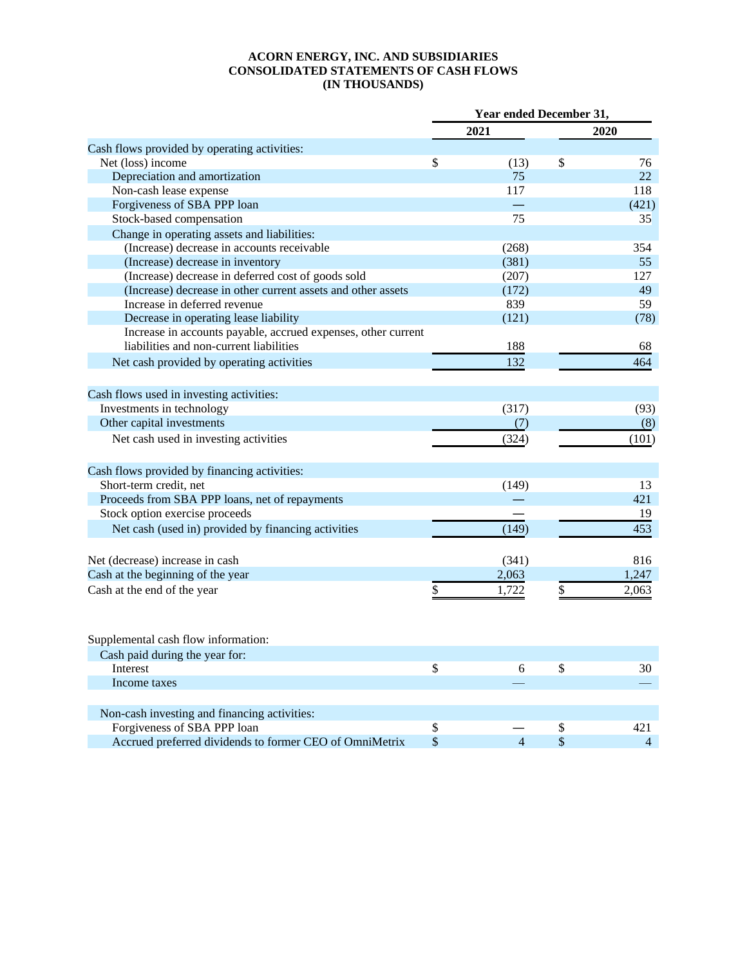#### **ACORN ENERGY, INC. AND SUBSIDIARIES CONSOLIDATED STATEMENTS OF CASH FLOWS (IN THOUSANDS)**

|                                                               | Year ended December 31, |                |    |                |
|---------------------------------------------------------------|-------------------------|----------------|----|----------------|
|                                                               |                         | 2021           |    | 2020           |
| Cash flows provided by operating activities:                  |                         |                |    |                |
| Net (loss) income                                             | \$                      | (13)           | \$ | 76             |
| Depreciation and amortization                                 |                         | 75             |    | 22             |
| Non-cash lease expense                                        |                         | 117            |    | 118            |
| Forgiveness of SBA PPP loan                                   |                         |                |    | (421)          |
| Stock-based compensation                                      |                         | 75             |    | 35             |
| Change in operating assets and liabilities:                   |                         |                |    |                |
| (Increase) decrease in accounts receivable                    |                         | (268)          |    | 354            |
| (Increase) decrease in inventory                              |                         | (381)          |    | 55             |
| (Increase) decrease in deferred cost of goods sold            |                         | (207)          |    | 127            |
| (Increase) decrease in other current assets and other assets  |                         | (172)          |    | 49             |
| Increase in deferred revenue                                  |                         | 839            |    | 59             |
| Decrease in operating lease liability                         |                         | (121)          |    | (78)           |
| Increase in accounts payable, accrued expenses, other current |                         |                |    |                |
| liabilities and non-current liabilities                       |                         | 188            |    | 68             |
| Net cash provided by operating activities                     |                         | 132            |    | 464            |
|                                                               |                         |                |    |                |
| Cash flows used in investing activities:                      |                         |                |    |                |
| Investments in technology                                     |                         | (317)          |    | (93)           |
| Other capital investments                                     |                         | (7)            |    | (8)            |
| Net cash used in investing activities                         |                         | (324)          |    | (101)          |
|                                                               |                         |                |    |                |
| Cash flows provided by financing activities:                  |                         |                |    |                |
| Short-term credit, net                                        |                         | (149)          |    | 13             |
| Proceeds from SBA PPP loans, net of repayments                |                         |                |    | 421            |
| Stock option exercise proceeds                                |                         |                |    | 19             |
| Net cash (used in) provided by financing activities           |                         | (149)          |    | 453            |
|                                                               |                         |                |    |                |
| Net (decrease) increase in cash                               |                         | (341)          |    | 816            |
| Cash at the beginning of the year                             |                         | 2,063          |    | 1,247          |
| Cash at the end of the year                                   | \$                      | 1,722          | \$ | 2,063          |
|                                                               |                         |                |    |                |
| Supplemental cash flow information:                           |                         |                |    |                |
| Cash paid during the year for:                                |                         |                |    |                |
|                                                               |                         |                |    |                |
| Interest                                                      | $\mathbb{S}$            | 6              | \$ | 30             |
| Income taxes                                                  |                         |                |    |                |
| Non-cash investing and financing activities:                  |                         |                |    |                |
| Forgiveness of SBA PPP loan                                   | $\mathbb{S}$            |                | \$ | 421            |
| Accrued preferred dividends to former CEO of OmniMetrix       | \$                      | $\overline{4}$ | \$ | $\overline{4}$ |
|                                                               |                         |                |    |                |